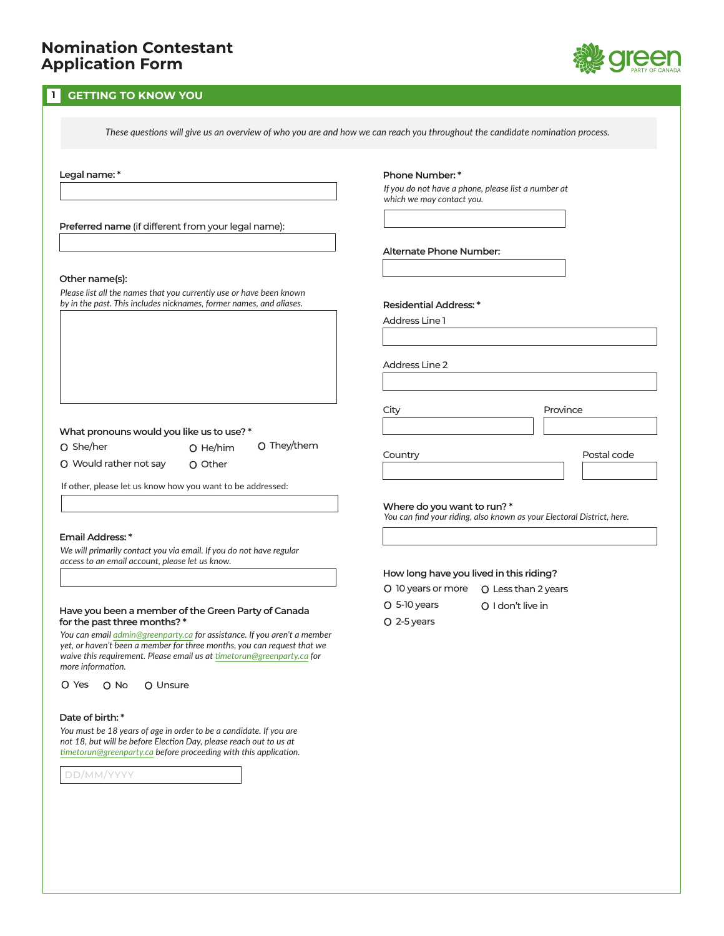### **1 GETTING TO KNOW YOU**

*These questions will give us an overview of who you are and how we can reach you throughout the candidate nomination process.* 

**Legal name: \***

**Preferred name** (if different from your legal name):

#### **Other name(s):**

*Please list all the names that you currently use or have been known by in the past. This includes nicknames, former names, and aliases.*

### **What pronouns would you like us to use? \***

O She/her

O He/him

O Other

O They/them

Would rather not say

If other, please let us know how you want to be addressed:

#### **Email Address: \***

*We will primarily contact you via email. If you do not have regular access to an email account, please let us know.*

#### **Have you been a member of the Green Party of Canada for the past three months? \***

*You can email admin@greenparty.ca for assistance. If you aren't a member yet, or haven't been a member for three months, you can request that we waive this requirement. Please email us at timetorun@greenparty.ca for more information.*

O Yes O No O Unsure

#### **Date of birth: \***

*You must be 18 years of age in order to be a candidate. If you are not 18, but will be before Election Day, please reach out to us at timetorun@greenparty.ca before proceeding with this application.*

DD/MM/YYYY

### **Phone Number: \***

*If you do not have a phone, please list a number at which we may contact you.*

### **Alternate Phone Number:**

**Residential Address: \***

Address Line 1

Address Line 2

City **Province** 

Country **Countries Postal code** 

#### **Where do you want to run? \***

*You can find your riding, also known as your Electoral District, here.*

### **How long have you lived in this riding?**

- 10 years or more Less than 2 years
- 5-10 years

O I don't live in

2-5 years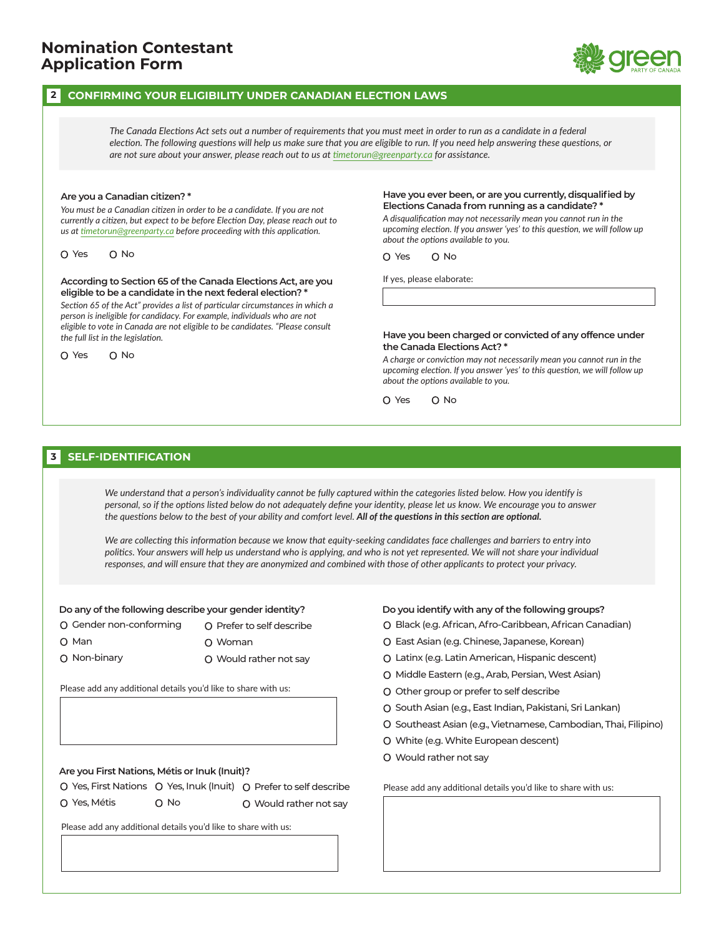### **2 CONFIRMING YOUR ELIGIBILITY UNDER CANADIAN ELECTION LAWS**

*The Canada Elections Act sets out a number of requirements that you must meet in order to run as a candidate in a federal election. The following questions will help us make sure that you are eligible to run. If you need help answering these questions, or are not sure about your answer, please reach out to us at timetorun@greenparty.ca for assistance.*

#### **Are you a Canadian citizen? \***

*You must be a Canadian citizen in order to be a candidate. If you are not currently a citizen, but expect to be before Election Day, please reach out to us at timetorun@greenparty.ca before proceeding with this application.*

 $O$  Yes  $O$  No

**According to Section 65 of the Canada Elections Act, are you eligible to be a candidate in the next federal election? \***

*Section 65 of the Act" provides a list of particular circumstances in which a person is ineligible for candidacy. For example, individuals who are not eligible to vote in Canada are not eligible to be candidates. "Please consult the full list in the legislation.*

O Yes O No

#### **Have you ever been, or are you currently, disqualified by Elections Canada from running as a candidate? \***

*A disqualification may not necessarily mean you cannot run in the upcoming election. If you answer 'yes' to this question, we will follow up about the options available to you.*

O Yes O No

If yes, please elaborate:

#### **Have you been charged or convicted of any offence under the Canada Elections Act? \***

*A charge or conviction may not necessarily mean you cannot run in the upcoming election. If you answer 'yes' to this question, we will follow up about the options available to you.*

O Yes O No

### **3 SELF-IDENTIFICATION**

*We understand that a person's individuality cannot be fully captured within the categories listed below. How you identify is personal, so if the options listed below do not adequately define your identity, please let us know. We encourage you to answer the questions below to the best of your ability and comfort level. All of the questions in this section are optional.*

*We are collecting this information because we know that equity-seeking candidates face challenges and barriers to entry into politics. Your answers will help us understand who is applying, and who is not yet represented. We will not share your individual responses, and will ensure that they are anonymized and combined with those of other applicants to protect your privacy.*

#### **Do any of the following describe your gender identity?**

- Gender non-conforming O Prefer to self describe
- O Man

O Non-binary

- Woman
- Would rather not say

Please add any additional details you'd like to share with us:

### **Are you First Nations, Métis or Inuk (Inuit)?**

|              |      | O Yes, First Nations O Yes, Inuk (Inuit) O Prefer to self describe |
|--------------|------|--------------------------------------------------------------------|
| O Yes, Métis | O No | O Would rather not say                                             |

Please add any additional details you'd like to share with us:

#### **Do you identify with any of the following groups?**

- O Black (e.g. African, Afro-Caribbean, African Canadian)
- East Asian (e.g. Chinese, Japanese, Korean)
- Latinx (e.g. Latin American, Hispanic descent)
- O Middle Eastern (e.g., Arab, Persian, West Asian)
- O Other group or prefer to self describe
- O South Asian (e.g., East Indian, Pakistani, Sri Lankan)
- O Southeast Asian (e.g., Vietnamese, Cambodian, Thai, Filipino)
- White (e.g. White European descent)
- Would rather not say

Please add any additional details you'd like to share with us: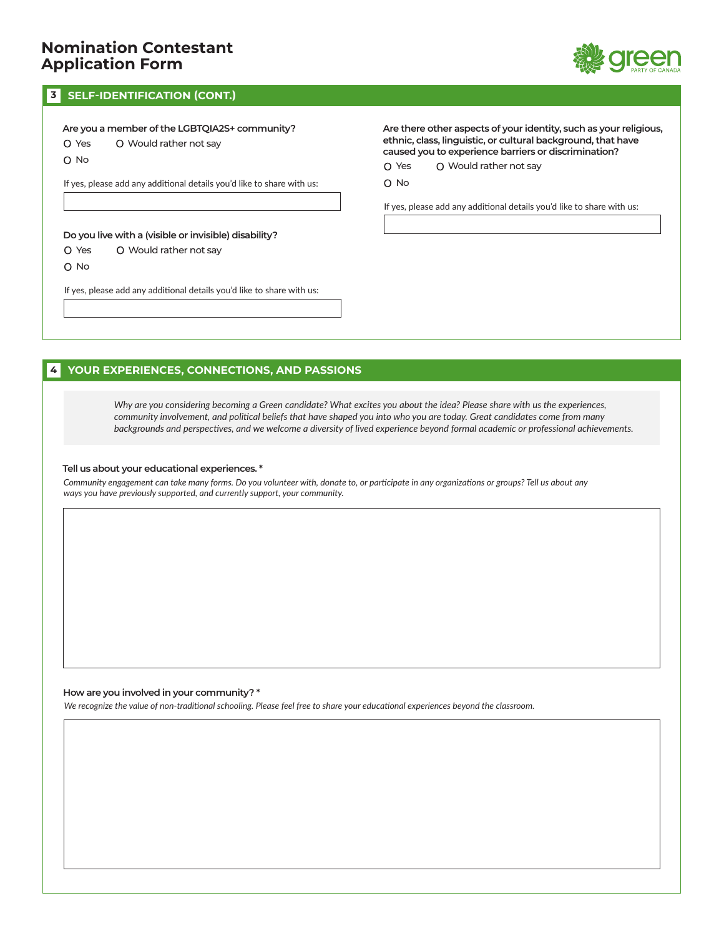

### **3 SELF-IDENTIFICATION (CONT.)**

**Are you a member of the LGBTQIA2S+ community?** Yes Would rather not say

O No

If yes, please add any additional details you'd like to share with us:

**Do you live with a (visible or invisible) disability?**

- O Yes Would rather not say
- O No

If yes, please add any additional details you'd like to share with us:

**Are there other aspects of your identity, such as your religious, ethnic, class, linguistic, or cultural background, that have caused you to experience barriers or discrimination?**

Yes Would rather not say

O No

If yes, please add any additional details you'd like to share with us:

### **4 YOUR EXPERIENCES, CONNECTIONS, AND PASSIONS**

*Why are you considering becoming a Green candidate? What excites you about the idea? Please share with us the experiences, community involvement, and political beliefs that have shaped you into who you are today. Great candidates come from many backgrounds and perspectives, and we welcome a diversity of lived experience beyond formal academic or professional achievements.*

#### **Tell us about your educational experiences. \***

*Community engagement can take many forms. Do you volunteer with, donate to, or participate in any organizations or groups? Tell us about any ways you have previously supported, and currently support, your community.*

### **How are you involved in your community? \***

*We recognize the value of non-traditional schooling. Please feel free to share your educational experiences beyond the classroom.*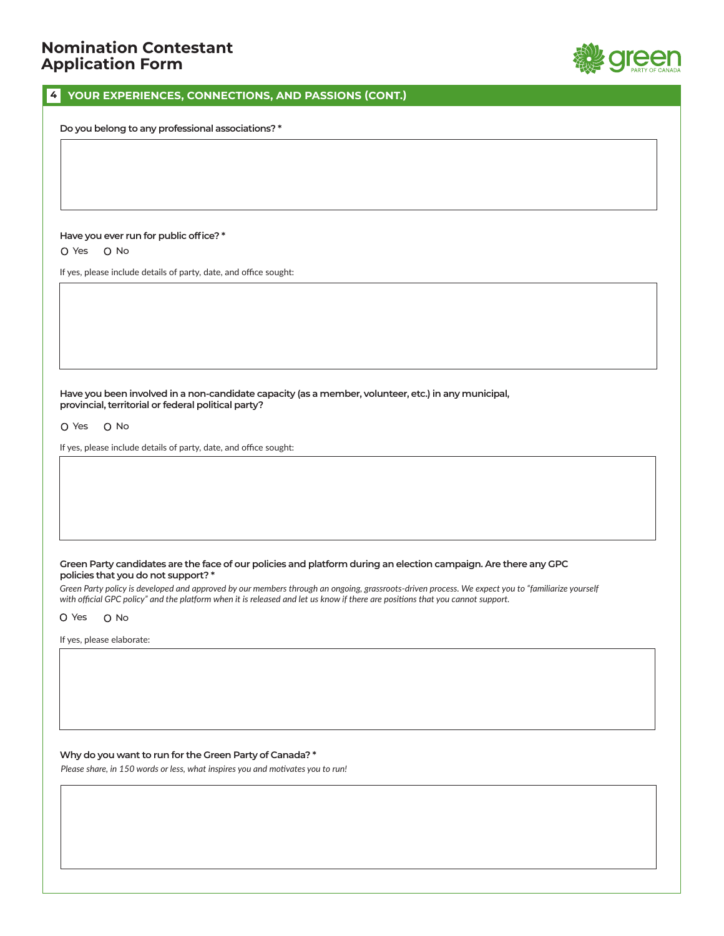

### **4 YOUR EXPERIENCES, CONNECTIONS, AND PASSIONS (CONT.)**

**Do you belong to any professional associations? \***

### **Have you ever run for public office? \***

O Yes O No

If yes, please include details of party, date, and office sought:

**Have you been involved in a non-candidate capacity (as a member, volunteer, etc.) in any municipal, provincial, territorial or federal political party?**

O Yes O No

If yes, please include details of party, date, and office sought:

### **Green Party candidates are the face of our policies and platform during an election campaign. Are there any GPC policies that you do not support? \***

Green Party policy is developed and approved by our members through an ongoing, grassroots-driven process. We expect you to "familiarize yourself *with official GPC policy" and the platform when it is released and let us know if there are positions that you cannot support.*

O Yes O No

If yes, please elaborate:

### **Why do you want to run for the Green Party of Canada? \***

*Please share, in 150 words or less, what inspires you and motivates you to run!*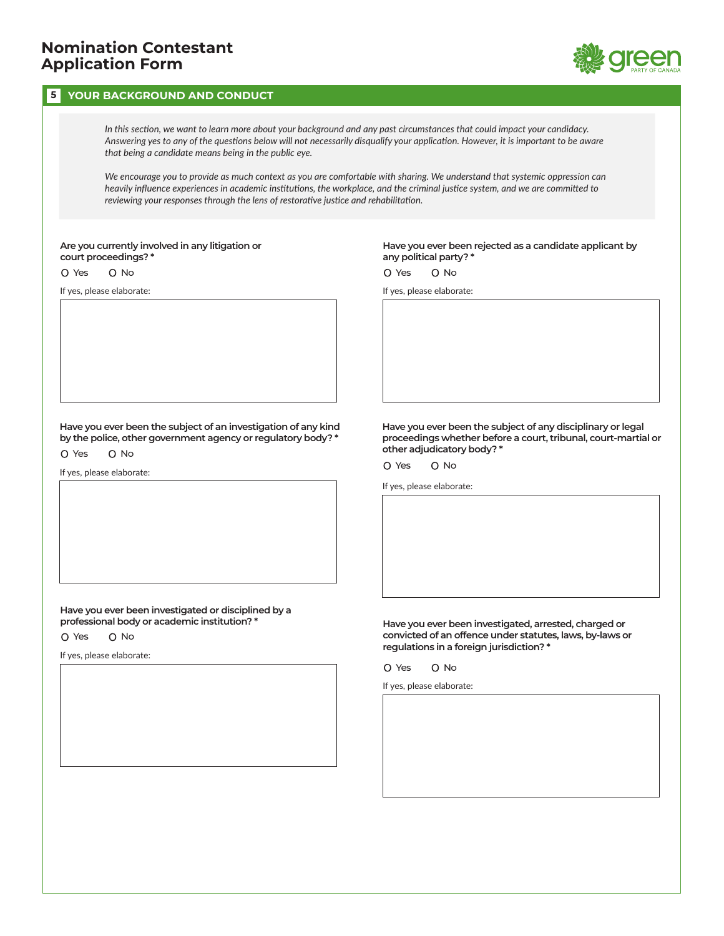### **5 YOUR BACKGROUND AND CONDUCT**



*In this section, we want to learn more about your background and any past circumstances that could impact your candidacy. Answering yes to any of the questions below will not necessarily disqualify your application. However, it is important to be aware that being a candidate means being in the public eye.*

*We encourage you to provide as much context as you are comfortable with sharing. We understand that systemic oppression can heavily influence experiences in academic institutions, the workplace, and the criminal justice system, and we are committed to reviewing your responses through the lens of restorative justice and rehabilitation.*

**Are you currently involved in any litigation or court proceedings? \***

O Yes O No

If yes, please elaborate:

**Have you ever been rejected as a candidate applicant by any political party? \***

O Yes O No

If yes, please elaborate:

**Have you ever been the subject of an investigation of any kind by the police, other government agency or regulatory body? \***

O Yes O No

If yes, please elaborate:

**Have you ever been investigated or disciplined by a professional body or academic institution? \***

O Yes O No

If yes, please elaborate:

**Have you ever been the subject of any disciplinary or legal proceedings whether before a court, tribunal, court-martial or other adjudicatory body? \***

O Yes O No

If yes, please elaborate:

**Have you ever been investigated, arrested, charged or convicted of an offence under statutes, laws, by-laws or regulations in a foreign jurisdiction? \***

O Yes O No

If yes, please elaborate: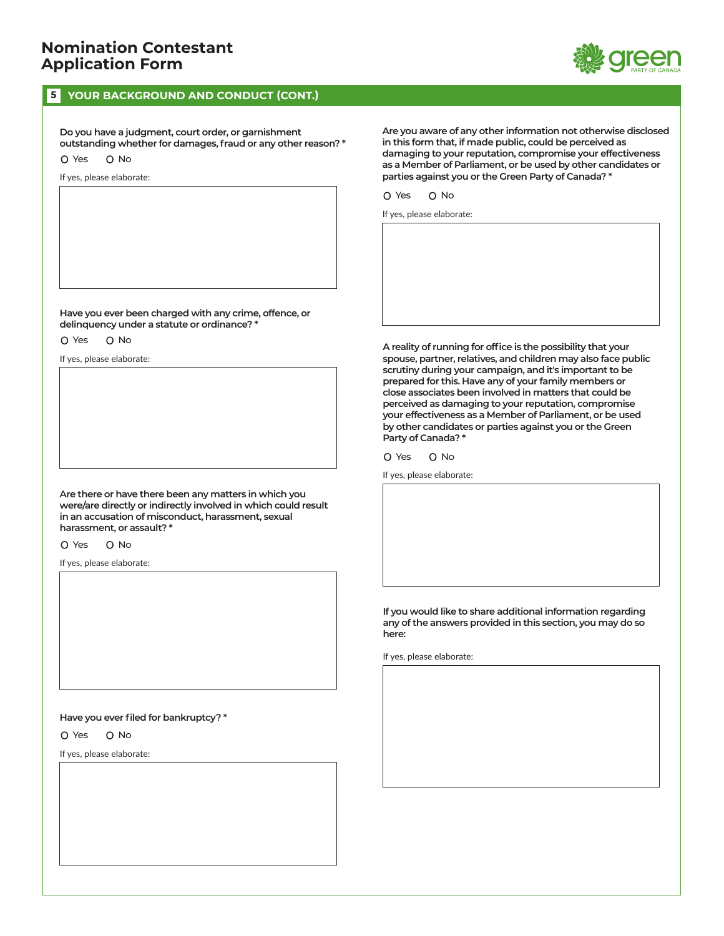### **5 YOUR BACKGROUND AND CONDUCT (CONT.)**

**Do you have a judgment, court order, or garnishment outstanding whether for damages, fraud or any other reason? \*** O Yes O No

If yes, please elaborate:

**Have you ever been charged with any crime, offence, or delinquency under a statute or ordinance? \***

O Yes O No

If yes, please elaborate:

**Are there or have there been any matters in which you were/are directly or indirectly involved in which could result in an accusation of misconduct, harassment, sexual harassment, or assault? \***

O Yes O No

If yes, please elaborate:

### **Have you ever filed for bankruptcy? \***

O Yes O No

If yes, please elaborate:

**Are you aware of any other information not otherwise disclosed in this form that, if made public, could be perceived as damaging to your reputation, compromise your effectiveness as a Member of Parliament, or be used by other candidates or parties against you or the Green Party of Canada? \***

O Yes O No

If yes, please elaborate:

**A reality of running for office is the possibility that your spouse, partner, relatives, and children may also face public scrutiny during your campaign, and it's important to be prepared for this. Have any of your family members or close associates been involved in matters that could be perceived as damaging to your reputation, compromise your effectiveness as a Member of Parliament, or be used by other candidates or parties against you or the Green Party of Canada? \***

O Yes O No

If yes, please elaborate:

**If you would like to share additional information regarding any of the answers provided in this section, you may do so here:**

If yes, please elaborate:

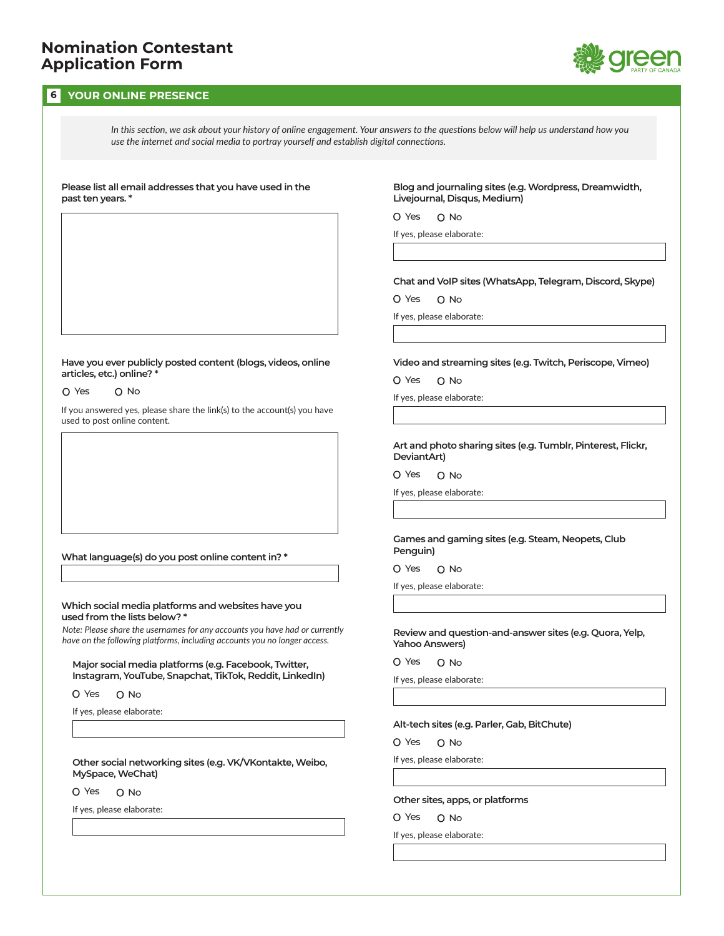### **6 YOUR ONLINE PRESENCE**



*In this section, we ask about your history of online engagement. Your answers to the questions below will help us understand how you use the internet and social media to portray yourself and establish digital connections.*

#### **Please list all email addresses that you have used in the past ten years. \***

**Blog and journaling sites (e.g. Wordpress, Dreamwidth, Livejournal, Disqus, Medium)**

O Yes O No

If yes, please elaborate:

### **Chat and VoIP sites (WhatsApp, Telegram, Discord, Skype)**

O Yes O No

If yes, please elaborate:

#### **Have you ever publicly posted content (blogs, videos, online articles, etc.) online? \***

O Yes O No

If you answered yes, please share the link(s) to the account(s) you have used to post online content.

### **What language(s) do you post online content in? \***

### **Which social media platforms and websites have you used from the lists below? \***

*Note: Please share the usernames for any accounts you have had or currently have on the following platforms, including accounts you no longer access.*

**Major social media platforms (e.g. Facebook, Twitter, Instagram, YouTube, Snapchat, TikTok, Reddit, LinkedIn)**

O Yes O No

If yes, please elaborate:

**Other social networking sites (e.g. VK/VKontakte, Weibo, MySpace, WeChat)**

O Yes O No

If yes, please elaborate:

### **Video and streaming sites (e.g. Twitch, Periscope, Vimeo)**

O Yes O No

If yes, please elaborate:

#### **Art and photo sharing sites (e.g. Tumblr, Pinterest, Flickr, DeviantArt)**

O Yes O No

If yes, please elaborate:

#### **Games and gaming sites (e.g. Steam, Neopets, Club Penguin)**

O Yes O No

If yes, please elaborate:

### **Review and question-and-answer sites (e.g. Quora, Yelp, Yahoo Answers)**

O Yes O No

If yes, please elaborate:

### **Alt-tech sites (e.g. Parler, Gab, BitChute)**

O Yes O No

If yes, please elaborate:

### **Other sites, apps, or platforms**

O Yes O No

If yes, please elaborate: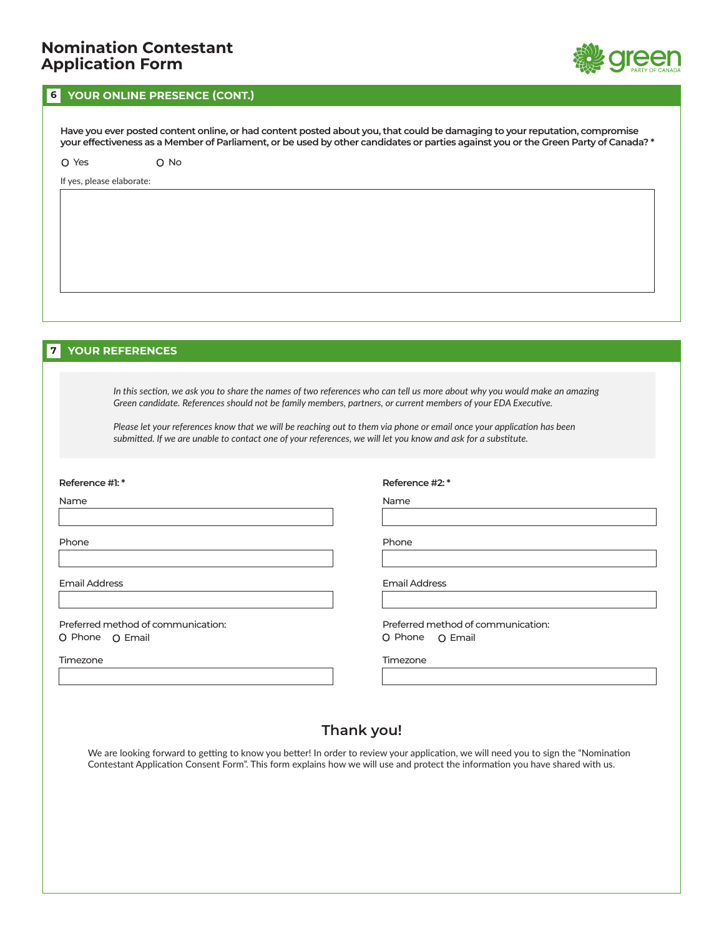

### **6 YOUR ONLINE PRESENCE (CONT.)**

**Have you ever posted content online, or had content posted about you, that could be damaging to your reputation, compromise your effectiveness as a Member of Parliament, or be used by other candidates or parties against you or the Green Party of Canada? \***

O Yes O No

If yes, please elaborate:

### **7 YOUR REFERENCES**

*In this section, we ask you to share the names of two references who can tell us more about why you would make an amazing Green candidate. References should not be family members, partners, or current members of your EDA Executive.*

*Please let your references know that we will be reaching out to them via phone or email once your application has been submitted. If we are unable to contact one of your references, we will let you know and ask for a substitute.*

#### **Reference #1: \***

Name

Phone

Email Address

Preferred method of communication: O Phone O Email

Timezone

**Reference #2: \***

Name

Phone

Email Address

Preferred method of communication: O Phone O Email

Timezone

## **Thank you!**

We are looking forward to getting to know you better! In order to review your application, we will need you to sign the "Nomination Contestant Application Consent Form". This form explains how we will use and protect the information you have shared with us.